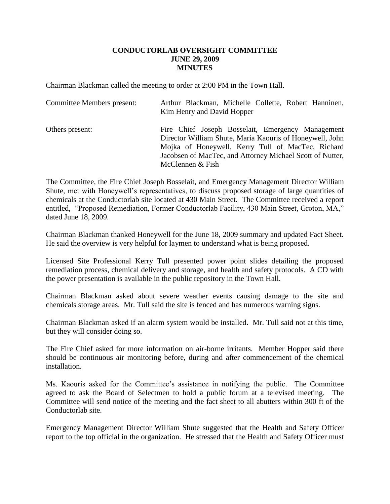## **CONDUCTORLAB OVERSIGHT COMMITTEE JUNE 29, 2009 MINUTES**

Chairman Blackman called the meeting to order at 2:00 PM in the Town Hall.

| <b>Committee Members present:</b> | Arthur Blackman, Michelle Collette, Robert Hanninen,<br>Kim Henry and David Hopper                                                                                                                                                                  |
|-----------------------------------|-----------------------------------------------------------------------------------------------------------------------------------------------------------------------------------------------------------------------------------------------------|
| Others present:                   | Fire Chief Joseph Bosselait, Emergency Management<br>Director William Shute, Maria Kaouris of Honeywell, John<br>Mojka of Honeywell, Kerry Tull of MacTec, Richard<br>Jacobsen of MacTec, and Attorney Michael Scott of Nutter,<br>McClennen & Fish |

The Committee, the Fire Chief Joseph Bosselait, and Emergency Management Director William Shute, met with Honeywell's representatives, to discuss proposed storage of large quantities of chemicals at the Conductorlab site located at 430 Main Street. The Committee received a report entitled, "Proposed Remediation, Former Conductorlab Facility, 430 Main Street, Groton, MA," dated June 18, 2009.

Chairman Blackman thanked Honeywell for the June 18, 2009 summary and updated Fact Sheet. He said the overview is very helpful for laymen to understand what is being proposed.

Licensed Site Professional Kerry Tull presented power point slides detailing the proposed remediation process, chemical delivery and storage, and health and safety protocols. A CD with the power presentation is available in the public repository in the Town Hall.

Chairman Blackman asked about severe weather events causing damage to the site and chemicals storage areas. Mr. Tull said the site is fenced and has numerous warning signs.

Chairman Blackman asked if an alarm system would be installed. Mr. Tull said not at this time, but they will consider doing so.

The Fire Chief asked for more information on air-borne irritants. Member Hopper said there should be continuous air monitoring before, during and after commencement of the chemical installation.

Ms. Kaouris asked for the Committee's assistance in notifying the public. The Committee agreed to ask the Board of Selectmen to hold a public forum at a televised meeting. The Committee will send notice of the meeting and the fact sheet to all abutters within 300 ft of the Conductorlab site.

Emergency Management Director William Shute suggested that the Health and Safety Officer report to the top official in the organization. He stressed that the Health and Safety Officer must